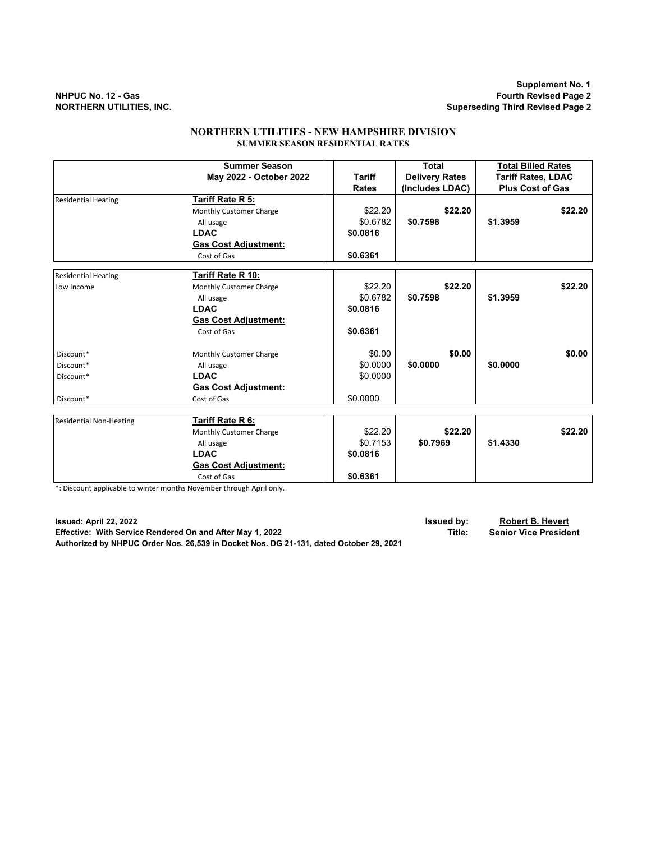**Supplement No. 1**

**Superseding Third Revised Page 2** 

## **NORTHERN UTILITIES - NEW HAMPSHIRE DIVISION SUMMER SEASON RESIDENTIAL RATES**

|                                | <b>Summer Season</b>        |               | <b>Total</b>          | <b>Total Billed Rates</b><br><b>Tariff Rates, LDAC</b> |  |
|--------------------------------|-----------------------------|---------------|-----------------------|--------------------------------------------------------|--|
|                                | May 2022 - October 2022     | <b>Tariff</b> | <b>Delivery Rates</b> |                                                        |  |
|                                |                             | <b>Rates</b>  | (Includes LDAC)       | <b>Plus Cost of Gas</b>                                |  |
| <b>Residential Heating</b>     | Tariff Rate R 5:            |               |                       |                                                        |  |
|                                | Monthly Customer Charge     | \$22.20       | \$22.20               | \$22.20                                                |  |
|                                | All usage                   | \$0.6782      | \$0.7598              | \$1.3959                                               |  |
|                                | <b>LDAC</b>                 | \$0.0816      |                       |                                                        |  |
|                                | <b>Gas Cost Adjustment:</b> |               |                       |                                                        |  |
|                                | Cost of Gas                 | \$0.6361      |                       |                                                        |  |
| <b>Residential Heating</b>     | Tariff Rate R 10:           |               |                       |                                                        |  |
| Low Income                     | Monthly Customer Charge     | \$22.20       | \$22.20               | \$22.20                                                |  |
|                                | All usage                   | \$0.6782      | \$0.7598              | \$1.3959                                               |  |
|                                | <b>LDAC</b>                 | \$0.0816      |                       |                                                        |  |
|                                | <b>Gas Cost Adjustment:</b> |               |                       |                                                        |  |
|                                | Cost of Gas                 | \$0.6361      |                       |                                                        |  |
| Discount*                      | Monthly Customer Charge     | \$0.00        | \$0.00                | \$0.00                                                 |  |
| Discount*                      | All usage                   | \$0.0000      | \$0.0000              | \$0.0000                                               |  |
| Discount*                      | <b>LDAC</b>                 | \$0.0000      |                       |                                                        |  |
|                                | <b>Gas Cost Adjustment:</b> |               |                       |                                                        |  |
| Discount*                      | Cost of Gas                 | \$0.0000      |                       |                                                        |  |
|                                |                             |               |                       |                                                        |  |
| <b>Residential Non-Heating</b> | Tariff Rate R 6:            |               |                       |                                                        |  |
|                                | Monthly Customer Charge     | \$22.20       | \$22.20               | \$22.20                                                |  |
|                                | All usage                   | \$0.7153      | \$0.7969              | \$1,4330                                               |  |
|                                | <b>LDAC</b>                 | \$0.0816      |                       |                                                        |  |
|                                | <b>Gas Cost Adjustment:</b> |               |                       |                                                        |  |
|                                | Cost of Gas                 | \$0.6361      |                       |                                                        |  |

\*: Discount applicable to winter months November through April only.

**Issued: April 22, 2022 Issued by: Robert B. Hevert Effective: With Service Rendered On and After May 1, 2022 Title: Senior Vice President Authorized by NHPUC Order Nos. 26,539 in Docket Nos. DG 21-131, dated October 29, 2021**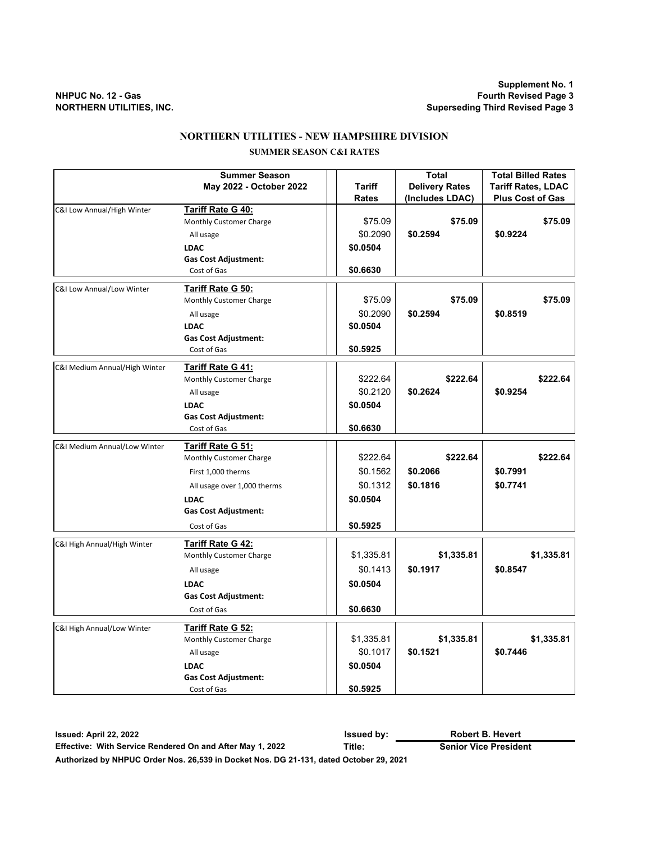## **NORTHERN UTILITIES - NEW HAMPSHIRE DIVISION**

## **SUMMER SEASON C&I RATES**

|                               | <b>Summer Season</b>        |            | Total                 | <b>Total Billed Rates</b> |
|-------------------------------|-----------------------------|------------|-----------------------|---------------------------|
|                               | May 2022 - October 2022     | Tariff     | <b>Delivery Rates</b> | <b>Tariff Rates, LDAC</b> |
|                               |                             | Rates      | (Includes LDAC)       | <b>Plus Cost of Gas</b>   |
| C&I Low Annual/High Winter    | Tariff Rate G 40:           |            |                       |                           |
|                               | Monthly Customer Charge     | \$75.09    | \$75.09               | \$75.09                   |
|                               | All usage                   | \$0.2090   | \$0.2594              | \$0.9224                  |
|                               | <b>LDAC</b>                 | \$0.0504   |                       |                           |
|                               | <b>Gas Cost Adjustment:</b> |            |                       |                           |
|                               | Cost of Gas                 | \$0.6630   |                       |                           |
| C&I Low Annual/Low Winter     | Tariff Rate G 50:           |            |                       |                           |
|                               | Monthly Customer Charge     | \$75.09    | \$75.09               | \$75.09                   |
|                               | All usage                   | \$0.2090   | \$0.2594              | \$0.8519                  |
|                               | <b>LDAC</b>                 | \$0.0504   |                       |                           |
|                               | <b>Gas Cost Adjustment:</b> |            |                       |                           |
|                               | Cost of Gas                 | \$0.5925   |                       |                           |
|                               |                             |            |                       |                           |
| C&I Medium Annual/High Winter | <u>Tariff Rate G 41:</u>    | \$222.64   | \$222.64              | \$222.64                  |
|                               | Monthly Customer Charge     |            |                       |                           |
|                               | All usage                   | \$0.2120   | \$0.2624              | \$0.9254                  |
|                               | <b>LDAC</b>                 | \$0.0504   |                       |                           |
|                               | <b>Gas Cost Adjustment:</b> | \$0.6630   |                       |                           |
|                               | Cost of Gas                 |            |                       |                           |
| C&I Medium Annual/Low Winter  | Tariff Rate G 51:           |            |                       |                           |
|                               | Monthly Customer Charge     | \$222.64   | \$222.64              | \$222.64                  |
|                               | First 1,000 therms          | \$0.1562   | \$0.2066              | \$0.7991                  |
|                               | All usage over 1,000 therms | \$0.1312   | \$0.1816              | \$0.7741                  |
|                               | <b>LDAC</b>                 | \$0.0504   |                       |                           |
|                               | <b>Gas Cost Adjustment:</b> |            |                       |                           |
|                               | Cost of Gas                 | \$0.5925   |                       |                           |
| C&I High Annual/High Winter   | Tariff Rate G 42:           |            |                       |                           |
|                               | Monthly Customer Charge     | \$1,335.81 | \$1,335.81            | \$1,335.81                |
|                               |                             | \$0.1413   | \$0.1917              | \$0.8547                  |
|                               | All usage                   |            |                       |                           |
|                               | <b>LDAC</b>                 | \$0.0504   |                       |                           |
|                               | <b>Gas Cost Adjustment:</b> |            |                       |                           |
|                               | Cost of Gas                 | \$0.6630   |                       |                           |
| C&I High Annual/Low Winter    | Tariff Rate G 52:           |            |                       |                           |
|                               | Monthly Customer Charge     | \$1,335.81 | \$1,335.81            | \$1,335.81                |
|                               | All usage                   | \$0.1017   | \$0.1521              | \$0.7446                  |
|                               | <b>LDAC</b>                 | \$0.0504   |                       |                           |
|                               | <b>Gas Cost Adjustment:</b> |            |                       |                           |
|                               | Cost of Gas                 | \$0.5925   |                       |                           |

**Issued: April 22, 2022 Issued by: Effective: With Service Rendered On and After May 1, 2022 Title: Senior Vice President Authorized by NHPUC Order Nos. 26,539 in Docket Nos. DG 21-131, dated October 29, 2021 Robert B. Hevert**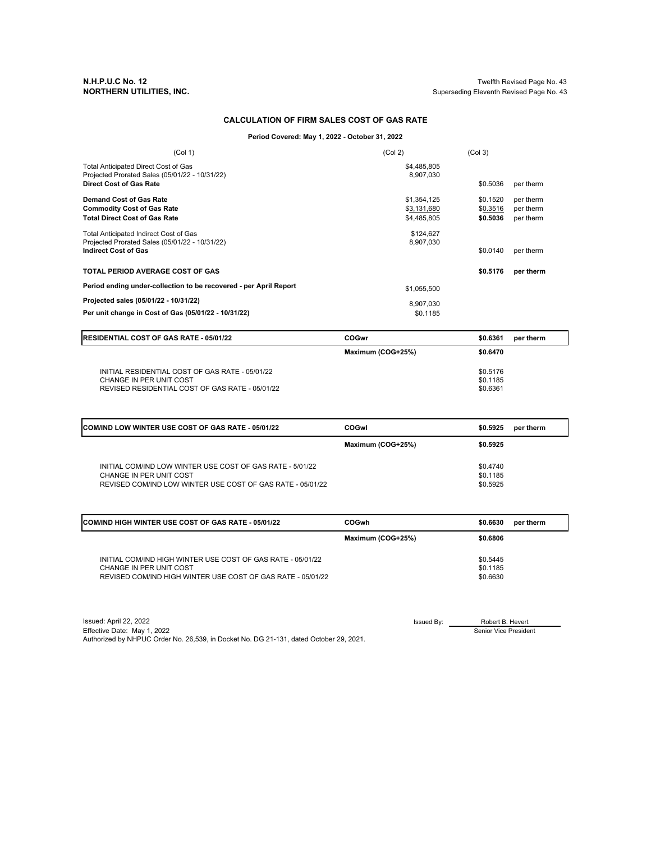**N.H.P.U.C No. 12** Twelfth Revised Page No. 43 Superseding Eleventh Revised Page No. 43

#### **CALCULATION OF FIRM SALES COST OF GAS RATE**

**Period Covered: May 1, 2022 - October 31, 2022**

| (Col 1)                                                                                                                  | (Col 2)                                   | (Col <sub>3</sub> )              |                                     |
|--------------------------------------------------------------------------------------------------------------------------|-------------------------------------------|----------------------------------|-------------------------------------|
| Total Anticipated Direct Cost of Gas<br>Projected Prorated Sales (05/01/22 - 10/31/22)<br><b>Direct Cost of Gas Rate</b> | \$4,485,805<br>8,907,030                  | \$0.5036                         | per therm                           |
| Demand Cost of Gas Rate<br><b>Commodity Cost of Gas Rate</b><br><b>Total Direct Cost of Gas Rate</b>                     | \$1,354,125<br>\$3,131,680<br>\$4,485,805 | \$0.1520<br>\$0.3516<br>\$0.5036 | per therm<br>per therm<br>per therm |
| Total Anticipated Indirect Cost of Gas<br>Projected Prorated Sales (05/01/22 - 10/31/22)<br><b>Indirect Cost of Gas</b>  | \$124.627<br>8,907,030                    | \$0.0140                         | per therm                           |
| <b>TOTAL PERIOD AVERAGE COST OF GAS</b>                                                                                  |                                           | \$0.5176                         | per therm                           |
| Period ending under-collection to be recovered - per April Report                                                        | \$1.055.500                               |                                  |                                     |
| Projected sales (05/01/22 - 10/31/22)<br>Per unit change in Cost of Gas (05/01/22 - 10/31/22)                            | 8,907,030<br>\$0.1185                     |                                  |                                     |

| <b>IRESIDENTIAL COST OF GAS RATE - 05/01/22</b>                                                                               | COGwr             | \$0.6361                         | per therm |
|-------------------------------------------------------------------------------------------------------------------------------|-------------------|----------------------------------|-----------|
|                                                                                                                               | Maximum (COG+25%) | \$0.6470                         |           |
| INITIAL RESIDENTIAL COST OF GAS RATE - 05/01/22<br>CHANGE IN PER UNIT COST<br>REVISED RESIDENTIAL COST OF GAS RATE - 05/01/22 |                   | \$0.5176<br>\$0.1185<br>\$0.6361 |           |

| <b>COM/IND LOW WINTER USE COST OF GAS RATE - 05/01/22</b>                             | COGwl             | \$0.5925             | per therm |
|---------------------------------------------------------------------------------------|-------------------|----------------------|-----------|
|                                                                                       | Maximum (COG+25%) | \$0.5925             |           |
| INITIAL COM/IND LOW WINTER USE COST OF GAS RATE - 5/01/22                             |                   | \$0.4740             |           |
| CHANGE IN PER UNIT COST<br>REVISED COM/IND LOW WINTER USE COST OF GAS RATE - 05/01/22 |                   | \$0.1185<br>\$0.5925 |           |

| <b>ICOM/IND HIGH WINTER USE COST OF GAS RATE - 05/01/22</b> | <b>COGwh</b>      | \$0.6630 | per therm |
|-------------------------------------------------------------|-------------------|----------|-----------|
|                                                             | Maximum (COG+25%) | \$0.6806 |           |
| INITIAL COM/IND HIGH WINTER USE COST OF GAS RATE - 05/01/22 |                   | \$0.5445 |           |
| CHANGE IN PER UNIT COST                                     |                   | \$0.1185 |           |
| REVISED COM/IND HIGH WINTER USE COST OF GAS RATE - 05/01/22 |                   | \$0.6630 |           |

Issued: April 22, 2022 Issued By: Effective Date: May 1, 2022 Authorized by NHPUC Order No. 26,539, in Docket No. DG 21-131, dated October 29, 2021.

Robert B. Hevert Senior Vice President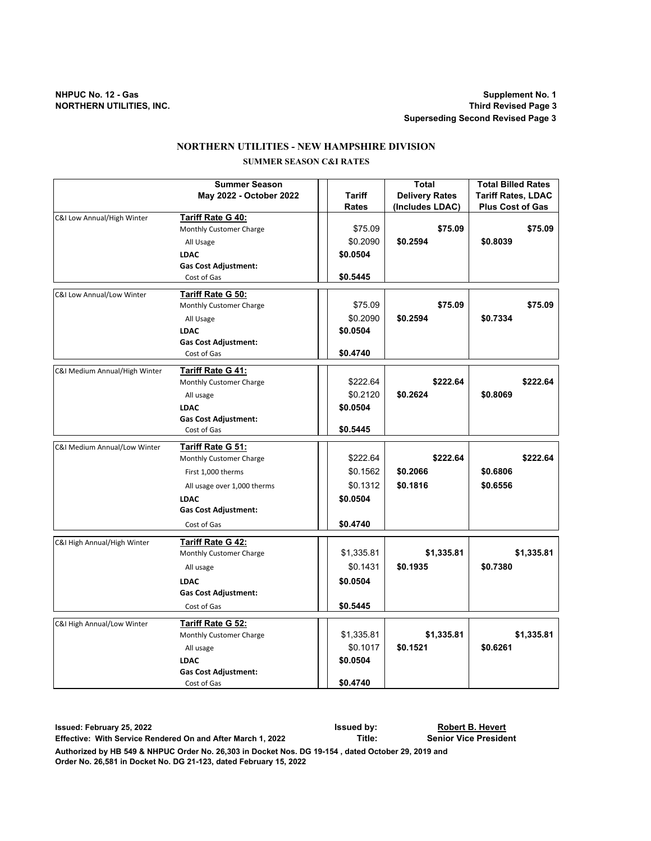# **NORTHERN UTILITIES - NEW HAMPSHIRE DIVISION**

## **SUMMER SEASON C&I RATES**

|                               | <b>Summer Season</b>                                |              | <b>Total</b>          | <b>Total Billed Rates</b> |
|-------------------------------|-----------------------------------------------------|--------------|-----------------------|---------------------------|
|                               | May 2022 - October 2022                             | Tariff       | <b>Delivery Rates</b> | <b>Tariff Rates, LDAC</b> |
|                               |                                                     | <b>Rates</b> | (Includes LDAC)       | <b>Plus Cost of Gas</b>   |
| C&I Low Annual/High Winter    | Tariff Rate G 40:                                   |              |                       |                           |
|                               | Monthly Customer Charge                             | \$75.09      | \$75.09               | \$75.09                   |
|                               | All Usage                                           | \$0.2090     | \$0.2594              | \$0.8039                  |
|                               | <b>LDAC</b>                                         | \$0.0504     |                       |                           |
|                               | <b>Gas Cost Adjustment:</b>                         |              |                       |                           |
|                               | Cost of Gas                                         | \$0.5445     |                       |                           |
| C&I Low Annual/Low Winter     | <b>Tariff Rate G 50:</b>                            |              |                       |                           |
|                               | Monthly Customer Charge                             | \$75.09      | \$75.09               | \$75.09                   |
|                               | All Usage                                           | \$0.2090     | \$0.2594              | \$0.7334                  |
|                               | <b>LDAC</b>                                         | \$0.0504     |                       |                           |
|                               | <b>Gas Cost Adjustment:</b>                         |              |                       |                           |
|                               | Cost of Gas                                         | \$0.4740     |                       |                           |
|                               |                                                     |              |                       |                           |
| C&I Medium Annual/High Winter | <b>Tariff Rate G 41:</b>                            |              |                       |                           |
|                               | Monthly Customer Charge                             | \$222.64     | \$222.64              | \$222.64                  |
|                               | All usage                                           | \$0.2120     | \$0.2624              | \$0.8069                  |
|                               | <b>LDAC</b>                                         | \$0.0504     |                       |                           |
|                               | <b>Gas Cost Adjustment:</b>                         |              |                       |                           |
|                               | Cost of Gas                                         | \$0.5445     |                       |                           |
| C&I Medium Annual/Low Winter  | Tariff Rate G 51:                                   |              |                       |                           |
|                               | Monthly Customer Charge                             | \$222.64     | \$222.64              | \$222.64                  |
|                               | First 1,000 therms                                  | \$0.1562     | \$0.2066              | \$0.6806                  |
|                               | All usage over 1,000 therms                         | \$0.1312     | \$0.1816              | \$0.6556                  |
|                               | <b>LDAC</b>                                         | \$0.0504     |                       |                           |
|                               | <b>Gas Cost Adjustment:</b>                         |              |                       |                           |
|                               | Cost of Gas                                         | \$0.4740     |                       |                           |
|                               |                                                     |              |                       |                           |
| C&I High Annual/High Winter   | <b>Tariff Rate G 42:</b>                            |              |                       |                           |
|                               | Monthly Customer Charge                             | \$1,335.81   | \$1,335.81            | \$1,335.81                |
|                               | All usage                                           | \$0.1431     | \$0.1935              | \$0.7380                  |
|                               | <b>LDAC</b>                                         | \$0.0504     |                       |                           |
|                               | <b>Gas Cost Adjustment:</b>                         |              |                       |                           |
|                               | Cost of Gas                                         | \$0.5445     |                       |                           |
|                               |                                                     |              |                       |                           |
| C&I High Annual/Low Winter    | <b>Tariff Rate G 52:</b><br>Monthly Customer Charge | \$1,335.81   | \$1,335.81            | \$1,335.81                |
|                               |                                                     | \$0.1017     | \$0.1521              | \$0.6261                  |
|                               | All usage                                           |              |                       |                           |
|                               | <b>LDAC</b>                                         | \$0.0504     |                       |                           |
|                               | <b>Gas Cost Adjustment:</b>                         |              |                       |                           |
|                               | Cost of Gas                                         | \$0.4740     |                       |                           |

**Issued: February 25, 2022 Issued by: Effective: With Service Rendered On and After March 1, 2022 Title: Senior Vice President Authorized by HB 549 & NHPUC Order No. 26,303 in Docket Nos. DG 19-154 , dated October 29, 2019 and Robert B. Hevert**

**Order No. 26,581 in Docket No. DG 21-123, dated February 15, 2022**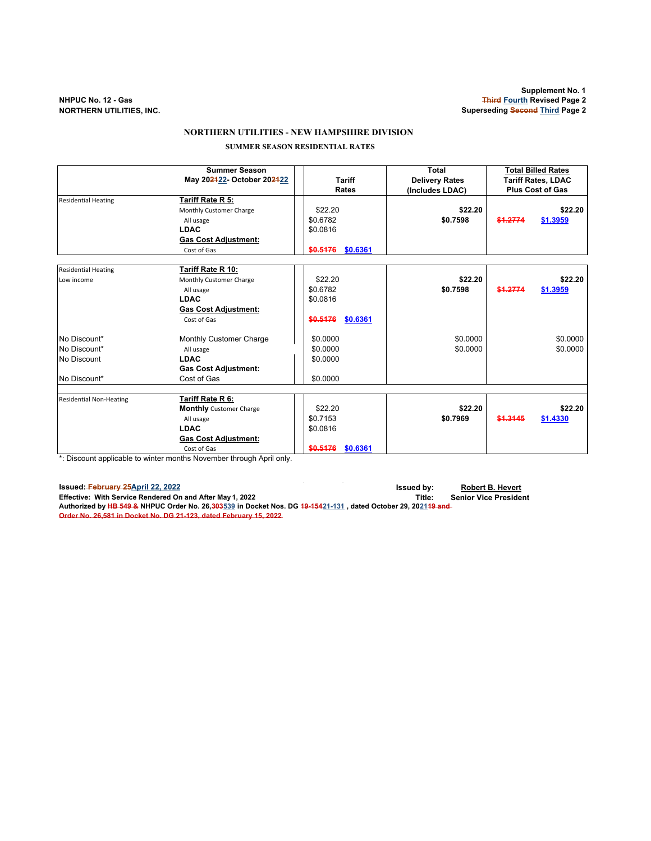#### **NORTHERN UTILITIES - NEW HAMPSHIRE DIVISION**

 **SUMMER SEASON RESIDENTIAL RATES**

|                                         | <b>Summer Season</b>           |                      | Total                 | <b>Total Billed Rates</b> |  |
|-----------------------------------------|--------------------------------|----------------------|-----------------------|---------------------------|--|
|                                         | May 202422- October 202422     | <b>Tariff</b>        | <b>Delivery Rates</b> | <b>Tariff Rates, LDAC</b> |  |
|                                         |                                | <b>Rates</b>         | (Includes LDAC)       | <b>Plus Cost of Gas</b>   |  |
| <b>Residential Heating</b>              | Tariff Rate R 5:               |                      |                       |                           |  |
|                                         | Monthly Customer Charge        | \$22.20              | \$22.20               | \$22.20                   |  |
|                                         | All usage                      | \$0.6782             | \$0.7598              | \$1.2774<br>\$1.3959      |  |
|                                         | <b>LDAC</b>                    | \$0.0816             |                       |                           |  |
|                                         | <b>Gas Cost Adjustment:</b>    |                      |                       |                           |  |
|                                         | Cost of Gas                    | \$0.5176<br>\$0.6361 |                       |                           |  |
|                                         |                                |                      |                       |                           |  |
| <b>Residential Heating</b>              | Tariff Rate R 10:              |                      |                       |                           |  |
| Low income                              | Monthly Customer Charge        | \$22.20              | \$22.20               | \$22.20                   |  |
|                                         | All usage                      | \$0.6782             | \$0.7598              | \$1,2774<br>\$1.3959      |  |
|                                         | <b>LDAC</b>                    | \$0.0816             |                       |                           |  |
|                                         | <b>Gas Cost Adjustment:</b>    |                      |                       |                           |  |
|                                         | Cost of Gas                    | \$0.6361<br>\$0.5176 |                       |                           |  |
| No Discount*                            | Monthly Customer Charge        | \$0.0000             | \$0.0000              | \$0.0000                  |  |
| No Discount*                            | All usage                      | \$0.0000             | \$0.0000              | \$0.0000                  |  |
| No Discount                             | <b>LDAC</b>                    | \$0.0000             |                       |                           |  |
|                                         | <b>Gas Cost Adjustment:</b>    |                      |                       |                           |  |
| No Discount*                            | Cost of Gas                    | \$0.0000             |                       |                           |  |
|                                         |                                |                      |                       |                           |  |
| <b>Residential Non-Heating</b>          | Tariff Rate R 6:               |                      |                       |                           |  |
|                                         | <b>Monthly</b> Customer Charge | \$22.20              | \$22.20               | \$22.20                   |  |
|                                         | All usage                      | \$0.7153             | \$0.7969              | \$1,3145<br>\$1.4330      |  |
|                                         | <b>LDAC</b>                    | \$0.0816             |                       |                           |  |
|                                         | <b>Gas Cost Adjustment:</b>    |                      |                       |                           |  |
| 4. Police construction that the control | Cost of Gas                    | \$0.5176<br>\$0.6361 |                       |                           |  |

\*: Discount applicable to winter months November through April only.

**Issued: February 25April 22, 2022 Issued by: Robert B. Hevert** Effective: With Service Rendered On and After May 1, 2022<br>Authorized by <del>HB 549 &</del> NHPUC Order No. 26,<del>303</del>539 in Docket Nos. DG <del>19-154</del>21-131 , dated October 29, 20<u>21</u>1<del>9 and-</del> **Order No. 26,581 in Docket No. DG 21-123, dated February 15, 2022**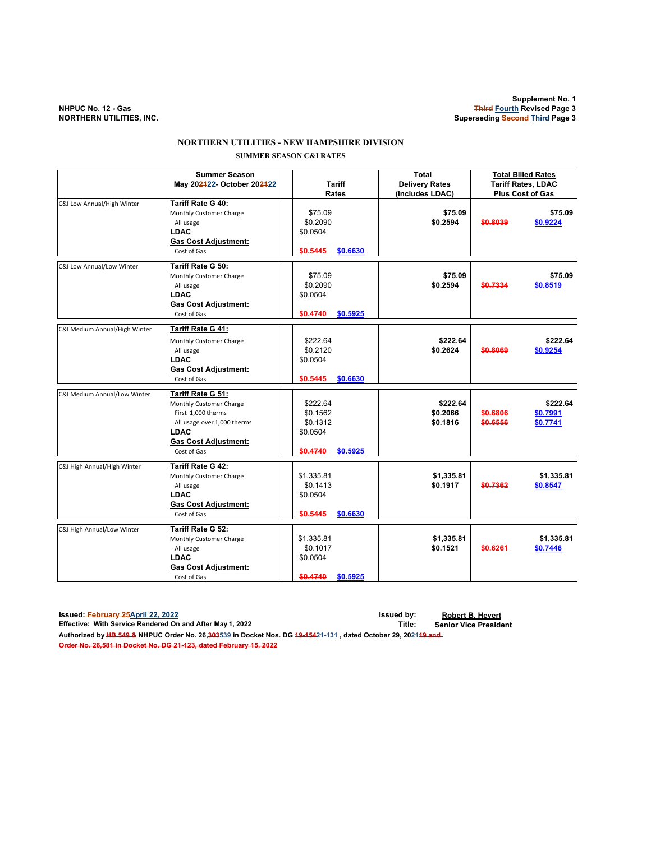## **NORTHERN UTILITIES - NEW HAMPSHIRE DIVISION SUMMER SEASON C&I RATES**

|                               | <b>Summer Season</b><br>May 202422- October 202422<br><b>Tariff</b><br>Rates                                                                                   |                                                          |          | <b>Total</b><br><b>Delivery Rates</b><br>(Includes LDAC) | <b>Total Billed Rates</b><br><b>Tariff Rates, LDAC</b><br><b>Plus Cost of Gas</b> |                                  |
|-------------------------------|----------------------------------------------------------------------------------------------------------------------------------------------------------------|----------------------------------------------------------|----------|----------------------------------------------------------|-----------------------------------------------------------------------------------|----------------------------------|
| C&I Low Annual/High Winter    | Tariff Rate G 40:<br>Monthly Customer Charge<br>All usage<br><b>LDAC</b><br><b>Gas Cost Adjustment:</b><br>Cost of Gas                                         | \$75.09<br>\$0.2090<br>\$0.0504<br>\$0.5445              | \$0.6630 | \$75.09<br>\$0.2594                                      | \$0.8039                                                                          | \$75.09<br>\$0.9224              |
| C&I Low Annual/Low Winter     | Tariff Rate G 50:<br>Monthly Customer Charge<br>All usage<br><b>LDAC</b><br><b>Gas Cost Adjustment:</b><br>Cost of Gas                                         | \$75.09<br>\$0.2090<br>\$0.0504<br>\$0.4740              | \$0.5925 | \$75.09<br>\$0.2594                                      | \$0.7334                                                                          | \$75.09<br>\$0.8519              |
| C&I Medium Annual/High Winter | Tariff Rate G 41:<br>Monthly Customer Charge<br>All usage<br><b>LDAC</b><br><b>Gas Cost Adjustment:</b><br>Cost of Gas                                         | \$222.64<br>\$0.2120<br>\$0.0504<br>\$0.5445             | \$0.6630 | \$222.64<br>\$0.2624                                     | \$0.8069                                                                          | \$222.64<br>\$0.9254             |
| C&I Medium Annual/Low Winter  | Tariff Rate G 51:<br>Monthly Customer Charge<br>First 1,000 therms<br>All usage over 1,000 therms<br><b>LDAC</b><br><b>Gas Cost Adjustment:</b><br>Cost of Gas | \$222.64<br>\$0.1562<br>\$0.1312<br>\$0.0504<br>\$0.4740 | \$0.5925 | \$222.64<br>\$0.2066<br>\$0.1816                         | \$0.6806<br>\$0.6556                                                              | \$222.64<br>\$0.7991<br>\$0.7741 |
| C&I High Annual/High Winter   | <b>Tariff Rate G 42:</b><br>Monthly Customer Charge<br>All usage<br><b>LDAC</b><br><b>Gas Cost Adjustment:</b><br>Cost of Gas                                  | \$1,335.81<br>\$0.1413<br>\$0.0504<br>\$0.5445           | \$0.6630 | \$1,335.81<br>\$0.1917                                   | \$0.7362                                                                          | \$1,335.81<br>\$0.8547           |
| C&I High Annual/Low Winter    | Tariff Rate G 52:<br>Monthly Customer Charge<br>All usage<br><b>LDAC</b><br><b>Gas Cost Adjustment:</b><br>Cost of Gas                                         | \$1,335.81<br>\$0.1017<br>\$0.0504<br>\$0.4740           | \$0.5925 | \$1,335.81<br>\$0.1521                                   | \$0.6261                                                                          | \$1,335.81<br>\$0.7446           |

**Issued: February 25April 22, 2022 Issued by: Robert B. Hevert Effective: With Service Rendered On and After May 1, 2022 Authorized by HB 549 & NHPUC Order No. 26,303539 in Docket Nos. DG 19-15421-131 , dated October 29, 202119 and**  Authorized by <del>HB 549 &</del> NHPUC Order No. 26,<del>303</del>539 in Docket Nos. DG <del>19-154</del>21-131 , dated October 29, 20<u>21</u>4<br><del>Order No. 26,581 in Docket No. DG 21-123, dated February 15, 2022</del>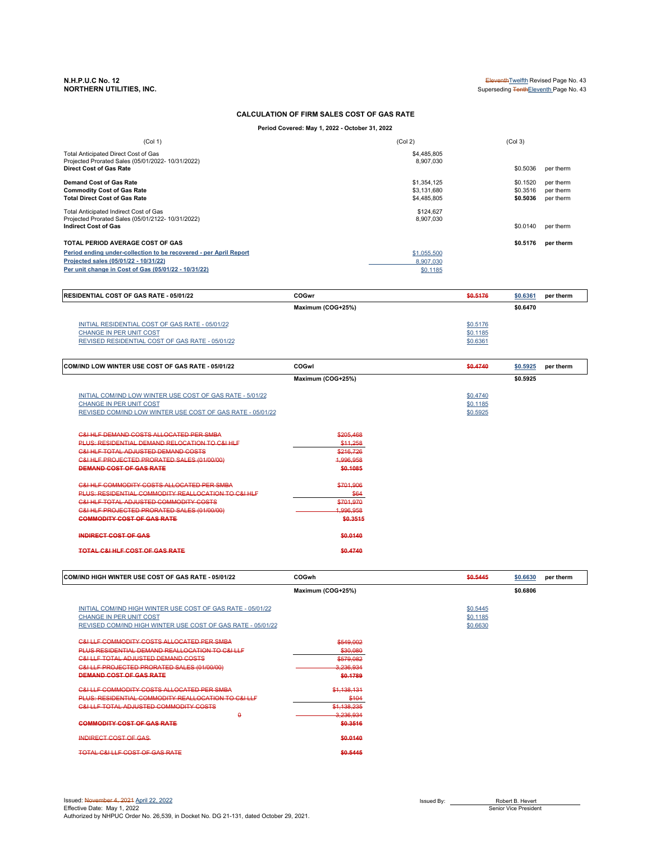# **NORTHERN UTILITIES, INC.** Superseding TenthEleventh Page No. 43

 $\mathbf{r}$ 

**N.H.P.U.C No. 12** Eleventh™ Revised Page No. 43

## **CALCULATION OF FIRM SALES COST OF GAS RATE**

**Period Covered: May 1, 2022 - October 31, 2022**

| (Col 1)                                                                                                              | (Col 2)                  | (Col <sub>3</sub> ) |           |
|----------------------------------------------------------------------------------------------------------------------|--------------------------|---------------------|-----------|
| Total Anticipated Direct Cost of Gas<br>Projected Prorated Sales (05/01/2022- 10/31/2022)<br>Direct Cost of Gas Rate | \$4,485,805<br>8.907.030 | \$0,5036            | per therm |
|                                                                                                                      |                          |                     |           |
| Demand Cost of Gas Rate                                                                                              | \$1,354,125              | \$0.1520            | per therm |
| <b>Commodity Cost of Gas Rate</b>                                                                                    | \$3.131.680              | \$0.3516            | per therm |
| <b>Total Direct Cost of Gas Rate</b>                                                                                 | \$4,485,805              | \$0.5036            | per therm |
| Total Anticipated Indirect Cost of Gas                                                                               | \$124.627                |                     |           |
| Projected Prorated Sales (05/01/2122-10/31/2022)                                                                     | 8,907,030                |                     |           |
| <b>Indirect Cost of Gas</b>                                                                                          |                          | \$0,0140            | per therm |
| TOTAL PERIOD AVERAGE COST OF GAS                                                                                     |                          | \$0.5176            | per therm |
| Period ending under-collection to be recovered - per April Report                                                    | \$1,055,500              |                     |           |
| Projected sales (05/01/22 - 10/31/22)                                                                                | 8.907.030                |                     |           |
| Per unit change in Cost of Gas (05/01/22 - 10/31/22)                                                                 | \$0.1185                 |                     |           |

| <b>IRESIDENTIAL COST OF GAS RATE - 05/01/22</b>                                                                                      | COGwr             | \$0.5176<br>\$0.6361<br>per therm |
|--------------------------------------------------------------------------------------------------------------------------------------|-------------------|-----------------------------------|
|                                                                                                                                      | Maximum (COG+25%) | \$0.6470                          |
| INITIAL RESIDENTIAL COST OF GAS RATE - 05/01/22<br><b>CHANGE IN PER UNIT COST</b><br>REVISED RESIDENTIAL COST OF GAS RATE - 05/01/22 |                   | \$0.5176<br>\$0.1185<br>\$0.6361  |

| COM/IND LOW WINTER USE COST OF GAS RATE - 05/01/22         | <b>COGwl</b>      | \$0.4740 | \$0.5925 | per therm |
|------------------------------------------------------------|-------------------|----------|----------|-----------|
|                                                            | Maximum (COG+25%) |          | \$0.5925 |           |
| INITIAL COM/IND LOW WINTER USE COST OF GAS RATE - 5/01/22  |                   | \$0.4740 |          |           |
| <b>CHANGE IN PER UNIT COST</b>                             |                   | \$0.1185 |          |           |
| REVISED COM/IND LOW WINTER USE COST OF GAS RATE - 05/01/22 |                   | \$0.5925 |          |           |
| C&LHLE DEMAND COSTS ALLOCATED PER SMBA                     | \$205,468         |          |          |           |
| PLUS: RESIDENTIAL DEMAND RELOCATION TO C&I HLF             | \$11,258          |          |          |           |
| <b>C&amp;I HLF TOTAL ADJUSTED DEMAND COSTS</b>             | \$216,726         |          |          |           |
| C&I HLF PROJECTED PRORATED SALES (01/00/00)                | 1,996,958         |          |          |           |
| DEMAND COST OF GAS RATE                                    | \$0.1085          |          |          |           |
| <b>C&amp;I HLE COMMODITY COSTS ALLOCATED PER SMBA</b>      | \$701,906         |          |          |           |
| PLUS: RESIDENTIAL COMMODITY REALLOCATION TO C&I HLF        | \$64              |          |          |           |
| <b>C&amp;I HLF TOTAL ADJUSTED COMMODITY COSTS</b>          | \$701,970         |          |          |           |
| C&I HLF PROJECTED PRORATED SALES (01/00/00)                | 1,996,958         |          |          |           |
| <b>COMMODITY COST OF GAS RATE</b>                          | \$0.3515          |          |          |           |
| <b>INDIRECT COST OF GAS</b>                                | \$0.0140          |          |          |           |
| TOTAL C&I HLF COST OF GAS RATE                             | \$0.4740          |          |          |           |

| <b>COM/IND HIGH WINTER USE COST OF GAS RATE - 05/01/22</b>  | COGwh             | \$0.5445 | \$0.6630<br>per therm |
|-------------------------------------------------------------|-------------------|----------|-----------------------|
|                                                             | Maximum (COG+25%) |          | \$0.6806              |
| INITIAL COM/IND HIGH WINTER USE COST OF GAS RATE - 05/01/22 |                   | \$0.5445 |                       |
| <b>CHANGE IN PER UNIT COST</b>                              |                   | \$0.1185 |                       |
| REVISED COM/IND HIGH WINTER USE COST OF GAS RATE - 05/01/22 |                   | \$0.6630 |                       |
| <b>C&amp;I LLF COMMODITY COSTS ALLOCATED PER SMBA</b>       | \$549,002         |          |                       |
| PLUS RESIDENTIAL DEMAND REALLOCATION TO C&I LLF             | \$30,080          |          |                       |
| <b>C&amp;I LLF TOTAL ADJUSTED DEMAND COSTS</b>              | \$579,082         |          |                       |
| C&I LLF PROJECTED PRORATED SALES (01/00/00)                 | 3,236,934         |          |                       |
| DEMAND COST OF GAS RATE                                     | \$0.1789          |          |                       |
| <b>C&amp;I LLF COMMODITY COSTS ALLOCATED PER SMBA</b>       | \$1,138,131       |          |                       |
| PLUS: RESIDENTIAL COMMODITY REALLOCATION TO C&I LLF         | \$104             |          |                       |
| <b>C&amp;I LLF TOTAL ADJUSTED COMMODITY COSTS</b>           | \$1.138.235       |          |                       |
| ۵                                                           | 3,236,934         |          |                       |
| <b>COMMODITY COST OF GAS RATE</b>                           | \$0.3516          |          |                       |
| <b>INDIRECT COST OF GAS</b>                                 | \$0.0140          |          |                       |
| TOTAL C&I LLF COST OF GAS RATE                              | \$0.5445          |          |                       |